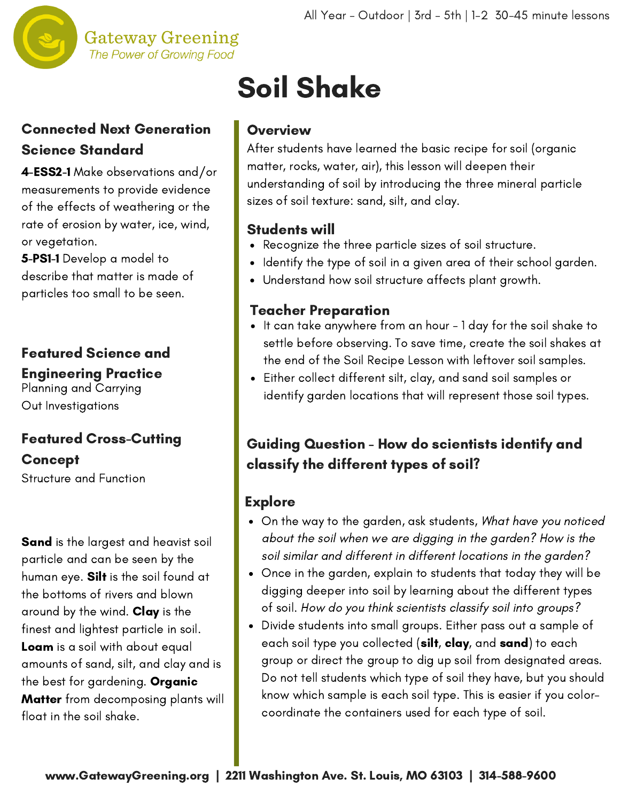

#### **Gateway Greening** The Power of Growing Food

### Connected Next Generation Science Standard

4-ESS2-1 Make observations and/or measurements to provide evidence of the effects of weathering or the rate of erosion by water, ice, wind, or vegetation.

5-PS1-1 Develop a model to describe that matter is made of particles too small to be seen.

## Featured Science and Engineering Practice

Planning and Carrying Out Investigations

## Featured Cross-Cutting Concept

Structure and Function

**Sand** is the largest and heavist soil particle and can be seen by the human eye. Silt is the soil found at the bottoms of rivers and blown around by the wind. **Clay** is the finest and lightest particle in soil. Loam is a soil with about equal amounts of sand, silt, and clay and is the best for gardening. Organic **Matter** from decomposing plants will float in the soil shake.

# Soil Shake

#### **Overview**

After students have learned the basic recipe for soil (organic matter, rocks, water, air), this lesson will deepen their understanding of soil by introducing the three mineral particle sizes of soil texture: sand, silt, and clay.

#### Students will

- Recognize the three particle sizes of soil structure.
- Identify the type of soil in a given area of their school garden.
- Understand how soil structure affects plant growth.

#### Teacher Preparation

- It can take anywhere from an hour 1 day for the soil shake to settle before observing. To save time, create the soil shakes at the end of the Soil Recipe Lesson with leftover soil samples.
- Either collect different silt, clay, and sand soil samples or identify garden locations that will represent those soil types.

## Guiding Question - How do scientists identify and classify the different types of soil?

#### **Explore**

- On the way to the garden, ask students, What have you noticed about the soil when we are digging in the garden? How is the soil similar and different in different locations in the garden?
- Once in the garden, explain to students that today they will be digging deeper into soil by learning about the different types of soil. How do you think scientists classify soil into groups?
- Divide students into small groups. Either pass out a sample of each soil type you collected (silt, clay, and sand) to each group or direct the group to dig up soil from designated areas. Do not tell students which type of soil they have, but you should know which sample is each soil type. This is easier if you colorcoordinate the containers used for each type of soil.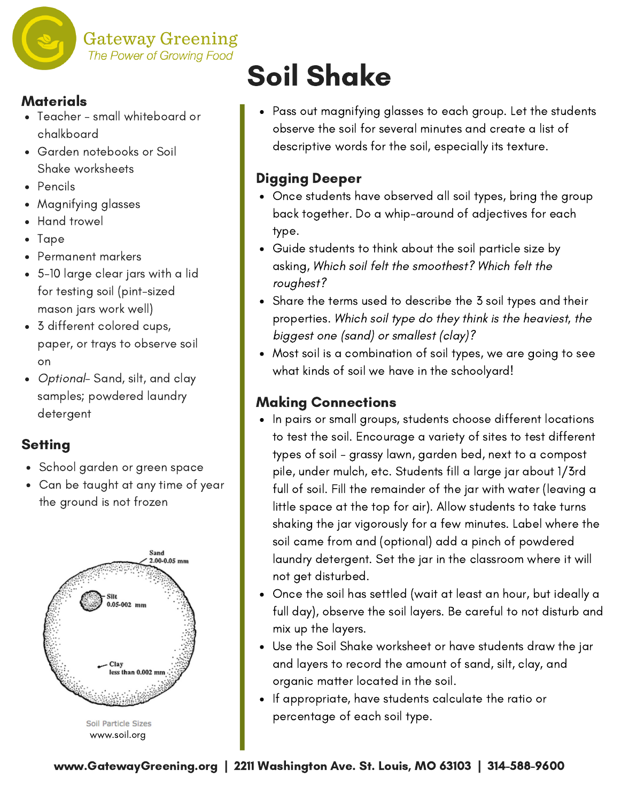

**Gateway Greening** The Power of Growing Food

#### **Materials**

- Teacher small whiteboard or chalkboard
- Garden notebooks or Soil Shake worksheets
- Pencils
- Magnifying glasses
- Hand trowel
- Tape
- Permanent markers
- 5-10 large clear jars with a lid for testing soil (pint-sized mason jars work well)
- 3 different colored cups, paper, or trays to observe soil on
- Optional-Sand, silt, and clay samples; powdered laundry detergent

### **Setting**

- School garden or green space
- Can be taught at any time of year the ground is not frozen



# Soil Shake

Pass out magnifying glasses to each group. Let the students observe the soil for several minutes and create a list of descriptive words for the soil, especially its texture.

### Digging Deeper

- Once students have observed all soil types, bring the group back together. Do a whip-around of adjectives for each type.
- Guide students to think about the soil particle size by asking, Which soil felt the smoothest? Which felt the roughest?
- Share the terms used to describe the 3 soil types and their properties. Which soil type do they think is the heaviest, the biggest one (sand) or smallest (clay)?
- Most soil is a combination of soil types, we are going to see what kinds of soil we have in the schoolyard!

#### Making Connections

- In pairs or small groups, students choose different locations to test the soil. Encourage a variety of sites to test different types of soil - grassy lawn, garden bed, next to a compost pile, under mulch, etc. Students fill a large jar about 1/3rd full of soil. Fill the remainder of the jar with water (leaving a little space at the top for air). Allow students to take turns shaking the jar vigorously for a few minutes. Label where the soil came from and (optional) add a pinch of powdered laundry detergent. Set the jar in the classroom where it will not get disturbed.
- Once the soil has settled (wait at least an hour, but ideally a full day), observe the soil layers. Be careful to not disturb and mix up the layers.
- Use the Soil Shake worksheet or have students draw the jar and layers to record the amount of sand, silt, clay, and organic matter located in the soil.
- If appropriate, have students calculate the ratio or percentage of each soil type.